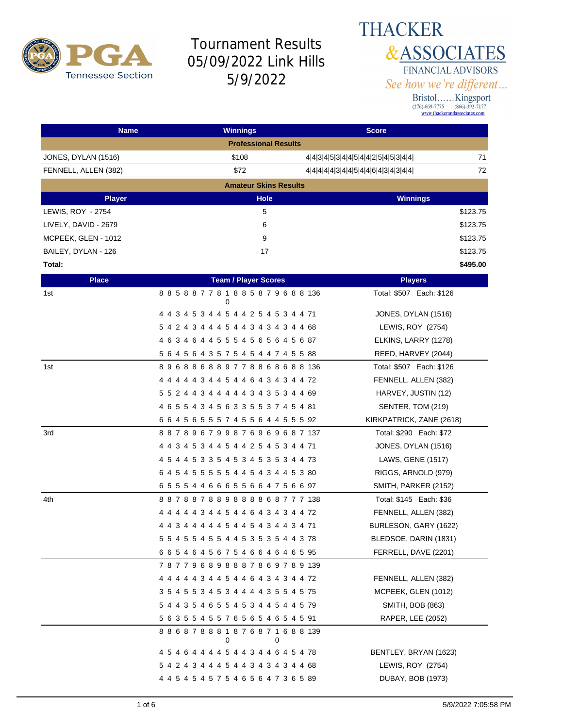

#### **THACKER &ASSOCIATES** FINANCIAL ADVISORS See how we're different...

| <b>Name</b>              | <b>Winnings</b>                                   | <b>Score</b>                              |
|--------------------------|---------------------------------------------------|-------------------------------------------|
|                          | <b>Professional Results</b>                       |                                           |
| JONES, DYLAN (1516)      | \$108                                             | 71<br>4 4 3 4 5 3 4 4 5 4 4 2 5 4 5 3 4 4 |
| FENNELL, ALLEN (382)     | \$72                                              | 72<br>4 4 4 4 3 4 4 5 4 4 6 4 3 4 3 4 4   |
|                          | <b>Amateur Skins Results</b>                      |                                           |
| <b>Player</b>            | <b>Hole</b>                                       | <b>Winnings</b>                           |
| <b>LEWIS, ROY - 2754</b> | 5                                                 | \$123.75                                  |
| LIVELY, DAVID - 2679     | 6                                                 | \$123.75                                  |
| MCPEEK, GLEN - 1012      | 9                                                 | \$123.75                                  |
| BAILEY, DYLAN - 126      | 17                                                | \$123.75                                  |
| Total:                   |                                                   | \$495.00                                  |
| <b>Place</b>             | <b>Team / Player Scores</b>                       | <b>Players</b>                            |
| 1st                      | 885887781885879688136<br>0                        | Total: \$507 Each: \$126                  |
|                          | 4 4 3 4 5 3 4 4 5 4 4 2 5 4 5 3 4 4 71            | JONES, DYLAN (1516)                       |
|                          | 5 4 2 4 3 4 4 4 5 4 4 3 4 3 4 3 4 4 68            | LEWIS, ROY (2754)                         |
|                          | 4 6 3 4 6 4 4 5 5 5 4 5 6 5 6 4 5 6 87            | ELKINS, LARRY (1278)                      |
|                          | 5 6 4 5 6 4 3 5 7 5 4 5 4 4 7 4 5 5 88            | REED, HARVEY (2044)                       |
| 1st                      | 896886889778868688136                             | Total: \$507 Each: \$126                  |
|                          | 4 4 4 4 4 3 4 4 5 4 4 6 4 3 4 3 4 4 72            | FENNELL, ALLEN (382)                      |
|                          | 5 5 2 4 4 3 4 4 4 4 4 3 4 3 5 3 4 4 69            | HARVEY, JUSTIN (12)                       |
|                          | 4 6 5 5 4 3 4 5 6 3 3 5 5 3 7 4 5 4 81            | SENTER, TOM (219)                         |
|                          | 6 6 4 5 6 5 5 5 7 4 5 5 6 4 4 5 5 5 92            | KIRKPATRICK, ZANE (2618)                  |
| 3rd                      | 887896799876969687137                             | Total: \$290 Each: \$72                   |
|                          | 4 4 3 4 5 3 4 4 5 4 4 2 5 4 5 3 4 4 71            | JONES, DYLAN (1516)                       |
|                          | 4 5 4 4 5 3 3 5 4 5 3 4 5 3 5 3 4 4 73            | LAWS, GENE (1517)                         |
|                          | 6 4 5 4 5 5 5 5 5 4 4 5 4 3 4 4 5 3 80            | RIGGS, ARNOLD (979)                       |
|                          | 65554466655664756697                              | SMITH, PARKER (2152)                      |
| 4th                      | 887887889888868777138                             | Total: \$145 Each: \$36                   |
|                          | 4 4 4 4 4 3 4 4 5 4 4 6 4 3 4 3 4 4 72            | FENNELL, ALLEN (382)                      |
|                          | 4 4 3 4 4 4 4 4 5 4 4 5 4 3 4 4 3 4 71            | BURLESON, GARY (1622)                     |
|                          | 5 5 4 5 5 4 5 5 4 4 5 3 5 3 5 4 4 3 78            | BLEDSOE, DARIN (1831)                     |
|                          | 6 6 5 4 6 4 5 6 7 5 4 6 6 4 6 4 6 5 95            | FERRELL, DAVE (2201)                      |
|                          | 787796898887869789139                             |                                           |
|                          | 4 4 4 4 4 3 4 4 5 4 4 6 4 3 4 3 4 4 72            | FENNELL, ALLEN (382)                      |
|                          | 3 5 4 5 5 3 4 5 3 4 4 4 4 3 5 5 4 5 75            | MCPEEK, GLEN (1012)                       |
|                          | 5 4 4 3 5 4 6 5 5 4 5 3 4 4 5 4 4 5 79            | <b>SMITH, BOB (863)</b>                   |
|                          | 5 6 3 5 5 4 5 5 7 6 5 6 5 4 6 5 4 5 91            | RAPER, LEE (2052)                         |
|                          | 8 8 6 8 7 8 8 8 1 8 7 6 8 7 1 6 8 8 139<br>0<br>0 |                                           |
|                          | 4 5 4 6 4 4 4 4 5 4 4 3 4 4 6 4 5 4 78            | BENTLEY, BRYAN (1623)                     |
|                          | 5 4 2 4 3 4 4 4 5 4 4 3 4 3 4 3 4 4 68            | LEWIS, ROY (2754)                         |
|                          | 4 4 5 4 5 4 5 7 5 4 6 5 6 4 7 3 6 5 89            | DUBAY, BOB (1973)                         |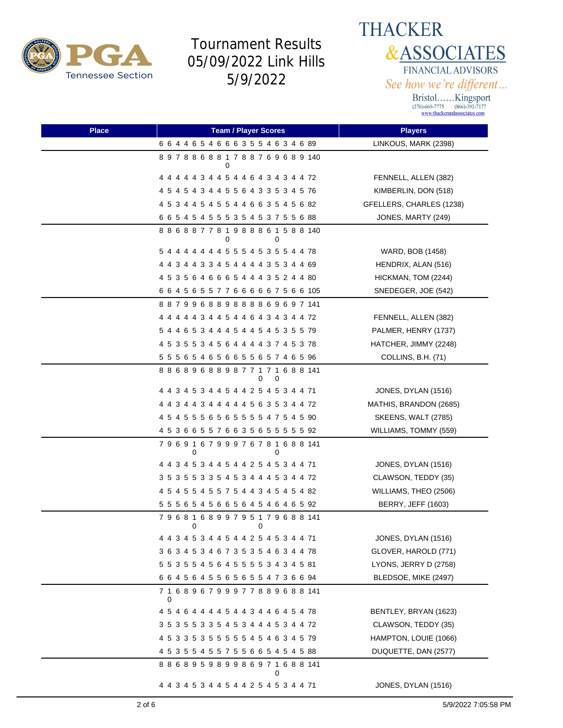



| <b>Place</b> | <b>Team / Player Scores</b>                       | <b>Players</b>             |
|--------------|---------------------------------------------------|----------------------------|
|              | 6 6 4 4 6 5 4 6 6 6 3 5 5 4 6 3 4 6 89            | LINKOUS, MARK (2398)       |
|              | 897886881788769689140                             |                            |
|              | 4 4 4 4 4 3 4 4 5 4 4 6 4 3 4 3 4 4 72            | FENNELL, ALLEN (382)       |
|              | 4 5 4 5 4 3 4 4 5 5 6 4 3 3 5 3 4 5 76            | KIMBERLIN, DON (518)       |
|              | 4 5 3 4 4 5 4 5 5 4 4 6 6 3 5 4 5 6 82            | GFELLERS, CHARLES (1238)   |
|              | 6 6 5 4 5 4 5 5 5 3 5 4 5 3 7 5 5 6 88            | JONES, MARTY (249)         |
|              | 8 8 6 8 8 7 7 8 1 9 8 8 8 6 1 5 8 8 140<br>0<br>0 |                            |
|              | 5 4 4 4 4 4 4 4 5 5 5 4 5 3 5 5 4 4 78            | WARD, BOB (1458)           |
|              | 4 4 3 4 4 3 3 4 5 4 4 4 4 3 5 3 4 4 69            | HENDRIX, ALAN (516)        |
|              | 4 5 3 5 6 4 6 6 6 5 4 4 4 3 5 2 4 4 80            | HICKMAN, TOM (2244)        |
|              | 6 6 4 5 6 5 5 7 7 6 6 6 6 6 7 5 6 6 105           | SNEDEGER, JOE (542)        |
|              | 887996889888869697141                             |                            |
|              | 4 4 4 4 4 3 4 4 5 4 4 6 4 3 4 3 4 4 72            | FENNELL, ALLEN (382)       |
|              | 5 4 4 6 5 3 4 4 4 5 4 4 5 4 5 3 5 5 79            | PALMER, HENRY (1737)       |
|              | 4 5 3 5 5 3 4 5 6 4 4 4 4 3 7 4 5 3 78            | HATCHER, JIMMY (2248)      |
|              | 5 5 5 6 5 4 6 5 6 6 5 5 6 5 7 4 6 5 96            | COLLINS, B.H. (71)         |
|              | 886896889877171688141<br>0<br>0                   |                            |
|              | 4 4 3 4 5 3 4 4 5 4 4 2 5 4 5 3 4 4 71            | JONES, DYLAN (1516)        |
|              | 4 4 3 4 4 3 4 4 4 4 4 5 6 3 5 3 4 4 72            | MATHIS, BRANDON (2685)     |
|              | 4 5 4 5 5 5 6 5 6 5 5 5 5 4 7 5 4 5 90            | <b>SKEENS, WALT (2785)</b> |
|              | 4 5 3 6 6 5 5 7 6 6 3 5 6 5 5 5 5 5 92            | WILLIAMS, TOMMY (559)      |
|              | 7 9 6 9 1 6 7 9 9 9 7 6 7 8 1 6 8 8 141<br>0<br>0 |                            |
|              | 4 4 3 4 5 3 4 4 5 4 4 2 5 4 5 3 4 4 71            | JONES, DYLAN (1516)        |
|              | 3 5 3 5 5 3 3 5 4 5 3 4 4 4 5 3 4 4 72            | CLAWSON, TEDDY (35)        |
|              | 4 5 4 5 5 4 5 5 7 5 4 4 3 4 5 4 5 4 82            | WILLIAMS, THEO (2506)      |
|              | 5 5 5 6 5 4 5 6 6 5 6 4 5 4 6 4 6 5 92            | <b>BERRY, JEFF (1603)</b>  |
|              | 7 9 6 8 1 6 8 9 9 7 9 5 1 7 9 6 8 8 141<br>0<br>0 |                            |
|              | 4 4 3 4 5 3 4 4 5 4 4 2 5 4 5 3 4 4 71            | JONES, DYLAN (1516)        |
|              | 3 6 3 4 5 3 4 6 7 3 5 3 5 4 6 3 4 4 78            | GLOVER, HAROLD (771)       |
|              | 5 5 3 5 5 4 5 6 4 5 5 5 5 3 4 3 4 5 81            | LYONS, JERRY D (2758)      |
|              | 6 6 4 5 6 4 5 5 6 5 6 5 5 4 7 3 6 6 94            | BLEDSOE, MIKE (2497)       |
|              | 7 1 6 8 9 6 7 9 9 9 7 7 8 8 9 6 8 8 141<br>0      |                            |
|              | 4 5 4 6 4 4 4 4 5 4 4 3 4 4 6 4 5 4 78            | BENTLEY, BRYAN (1623)      |
|              | 3 5 3 5 5 3 3 5 4 5 3 4 4 4 5 3 4 4 72            | CLAWSON, TEDDY (35)        |
|              | 4 5 3 3 5 3 5 5 5 5 5 4 5 4 6 3 4 5 79            | HAMPTON, LOUIE (1066)      |
|              | 4 5 3 5 5 4 5 5 7 5 5 6 6 5 4 5 4 5 88            | DUQUETTE, DAN (2577)       |
|              | 8 8 6 8 9 5 9 8 9 9 8 6 9 7 1 6 8 8 141<br>0      |                            |
|              | 4 4 3 4 5 3 4 4 5 4 4 2 5 4 5 3 4 4 71            | JONES, DYLAN (1516)        |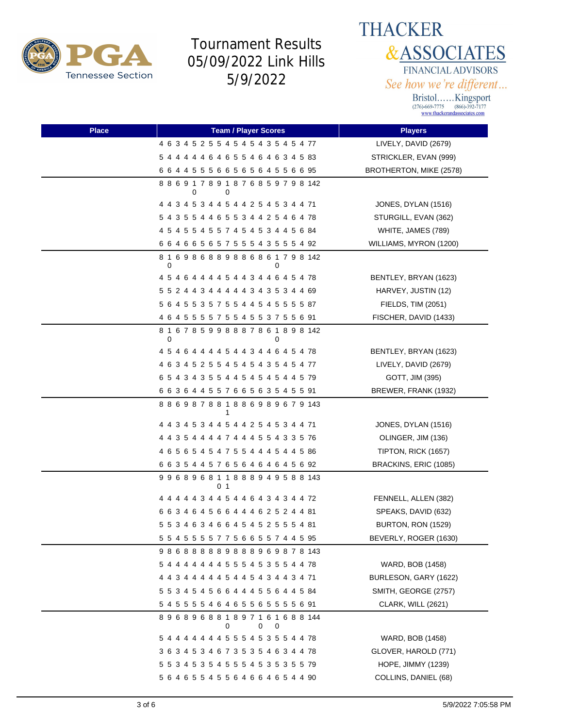



| Place | <b>Team / Player Scores</b>                       | <b>Players</b>            |
|-------|---------------------------------------------------|---------------------------|
|       | 4 6 3 4 5 2 5 5 4 5 4 5 4 3 5 4 5 4 77            | LIVELY, DAVID (2679)      |
|       | 5 4 4 4 4 4 6 4 6 5 5 4 6 4 6 3 4 5 83            | STRICKLER, EVAN (999)     |
|       | 6 6 4 4 5 5 5 6 6 5 6 5 6 4 5 5 6 6 95            | BROTHERTON, MIKE (2578)   |
|       | 8 8 6 9 1 7 8 9 1 8 7 6 8 5 9 7 9 8 142<br>0<br>0 |                           |
|       | 4 4 3 4 5 3 4 4 5 4 4 2 5 4 5 3 4 4 71            | JONES, DYLAN (1516)       |
|       | 5 4 3 5 5 4 4 6 5 5 3 4 4 2 5 4 6 4 78            | STURGILL, EVAN (362)      |
|       | 4 5 4 5 5 4 5 5 7 4 5 4 5 3 4 4 5 6 84            | WHITE, JAMES (789)        |
|       | 6 6 4 6 6 5 6 5 7 5 5 5 4 3 5 5 5 4 92            | WILLIAMS, MYRON (1200)    |
|       | 816986889886861798142<br>0<br>O                   |                           |
|       | 4 5 4 6 4 4 4 4 5 4 4 3 4 4 6 4 5 4 78            | BENTLEY, BRYAN (1623)     |
|       | 5 5 2 4 4 3 4 4 4 4 4 3 4 3 5 3 4 4 69            | HARVEY, JUSTIN (12)       |
|       | 5 6 4 5 5 3 5 7 5 5 4 4 5 4 5 5 5 5 87            | FIELDS, TIM (2051)        |
|       | 4 6 4 5 5 5 5 7 5 5 4 5 5 3 7 5 5 6 91            | FISCHER, DAVID (1433)     |
|       | 816785998887861898142<br>0                        |                           |
|       | 4 5 4 6 4 4 4 4 5 4 4 3 4 4 6 4 5 4 78            | BENTLEY, BRYAN (1623)     |
|       | 4 6 3 4 5 2 5 5 4 5 4 5 4 3 5 4 5 4 77            | LIVELY, DAVID (2679)      |
|       | 6 5 4 3 4 3 5 5 4 4 5 4 5 4 5 4 4 5 79            | GOTT, JIM (395)           |
|       | 6 6 3 6 4 4 5 5 7 6 6 5 6 3 5 4 5 5 91            | BREWER, FRANK (1932)      |
|       | 8 8 6 9 8 7 8 8 1 8 8 6 9 8 9 6 7 9 143<br>1      |                           |
|       | 4 4 3 4 5 3 4 4 5 4 4 2 5 4 5 3 4 4 71            | JONES, DYLAN (1516)       |
|       | 4 4 3 5 4 4 4 4 7 4 4 4 5 5 4 3 3 5 76            | OLINGER, JIM (136)        |
|       | 4 6 5 6 5 4 5 4 7 5 5 4 4 4 5 4 4 5 86            | TIPTON, RICK (1657)       |
|       | 6 6 3 5 4 4 5 7 6 5 6 4 6 4 6 4 5 6 92            | BRACKINS, ERIC (1085)     |
|       | 996896811888949588143<br>0 1                      |                           |
|       | 4 4 4 4 4 3 4 4 5 4 4 6 4 3 4 3 4 4 72            | FENNELL, ALLEN (382)      |
|       | 6 6 3 4 6 4 5 6 6 4 4 4 6 2 5 2 4 4 81            | SPEAKS, DAVID (632)       |
|       | 5 5 3 4 6 3 4 6 6 4 5 4 5 2 5 5 5 4 81            | BURTON, RON (1529)        |
|       | 5 5 4 5 5 5 5 7 7 5 6 6 5 5 7 4 4 5 95            | BEVERLY, ROGER (1630)     |
|       | 986888889888969878143                             |                           |
|       | 5 4 4 4 4 4 4 4 5 5 5 4 5 3 5 5 4 4 78            | WARD, BOB (1458)          |
|       | 4 4 3 4 4 4 4 4 5 4 4 5 4 3 4 4 3 4 71            | BURLESON, GARY (1622)     |
|       | 5 5 3 4 5 4 5 6 6 4 4 4 5 5 6 4 4 5 84            | SMITH, GEORGE (2757)      |
|       | 5 4 5 5 5 5 4 6 4 6 5 5 6 5 5 5 5 6 91            | CLARK, WILL (2621)        |
|       | 896896881897161688144<br>0<br>0<br>0              |                           |
|       | 5 4 4 4 4 4 4 4 5 5 5 4 5 3 5 5 4 4 78            | WARD, BOB (1458)          |
|       | 3 6 3 4 5 3 4 6 7 3 5 3 5 4 6 3 4 4 78            | GLOVER, HAROLD (771)      |
|       | 5 5 3 4 5 3 5 4 5 5 5 4 5 3 5 3 5 5 79            | <b>HOPE, JIMMY (1239)</b> |
|       | 5 6 4 6 5 5 4 5 5 6 4 6 6 4 6 5 4 4 90            | COLLINS, DANIEL (68)      |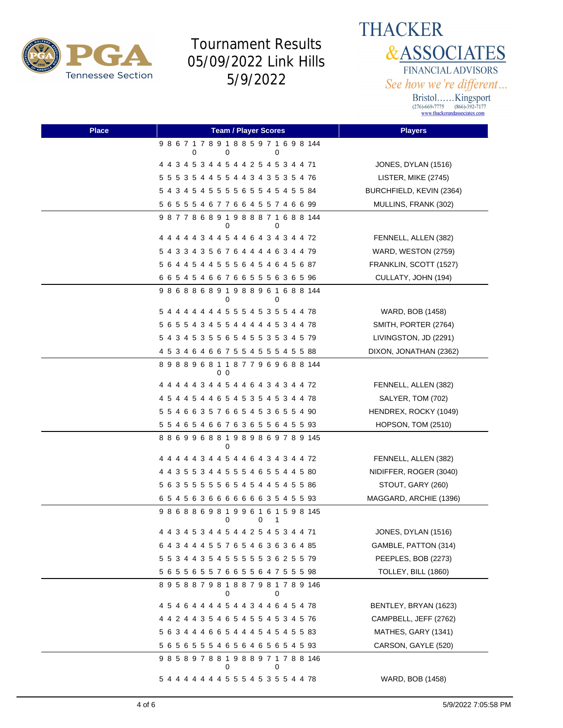

**THACKER &ASSOCIATES** FINANCIAL ADVISORS See how we're different...

| <b>Place</b> | <b>Team / Player Scores</b>            | <b>Players</b>           |
|--------------|----------------------------------------|--------------------------|
|              | 986717891885971698144<br>0<br>0<br>0   |                          |
|              | 4 4 3 4 5 3 4 4 5 4 4 2 5 4 5 3 4 4 71 | JONES, DYLAN (1516)      |
|              | 5 5 5 3 5 4 4 5 5 4 4 3 4 3 5 3 5 4 76 | LISTER, MIKE (2745)      |
|              | 5 4 3 4 5 4 5 5 5 5 6 5 5 4 5 4 5 5 84 | BURCHFIELD, KEVIN (2364) |
|              | 5 6 5 5 5 4 6 7 7 6 6 4 5 5 7 4 6 6 99 | MULLINS, FRANK (302)     |
|              | 987786891988871688144<br>0<br>0        |                          |
|              | 4 4 4 4 4 3 4 4 5 4 4 6 4 3 4 3 4 4 72 | FENNELL, ALLEN (382)     |
|              | 5 4 3 3 4 3 5 6 7 6 4 4 4 4 6 3 4 4 79 | WARD, WESTON (2759)      |
|              | 5 6 4 4 5 4 4 5 5 5 6 4 5 4 6 4 5 6 87 | FRANKLIN, SCOTT (1527)   |
|              | 6 6 5 4 5 4 6 6 7 6 6 5 5 5 6 3 6 5 96 | CULLATY, JOHN (194)      |
|              | 986886891988961688144<br>0<br>0        |                          |
|              | 5 4 4 4 4 4 4 4 5 5 5 4 5 3 5 5 4 4 78 | WARD, BOB (1458)         |
|              | 5 6 5 5 4 3 4 5 5 4 4 4 4 4 5 3 4 4 78 | SMITH, PORTER (2764)     |
|              | 5 4 3 4 5 3 5 5 6 5 4 5 5 3 5 3 4 5 79 | LIVINGSTON, JD (2291)    |
|              | 4 5 3 4 6 4 6 6 7 5 5 4 5 5 5 4 5 5 88 | DIXON, JONATHAN (2362)   |
|              | 898896811877969688144<br>00            |                          |
|              | 4 4 4 4 4 3 4 4 5 4 4 6 4 3 4 3 4 4 72 | FENNELL, ALLEN (382)     |
|              | 4 5 4 4 5 4 4 6 5 4 5 3 5 4 5 3 4 4 78 | SALYER, TOM (702)        |
|              | 5 5 4 6 6 3 5 7 6 6 5 4 5 3 6 5 5 4 90 | HENDREX, ROCKY (1049)    |
|              | 5 5 4 6 5 4 6 6 7 6 3 6 5 5 6 4 5 5 93 | HOPSON, TOM (2510)       |
|              | 886996881989869789145<br>$\Omega$      |                          |
|              | 4 4 4 4 4 3 4 4 5 4 4 6 4 3 4 3 4 4 72 | FENNELL, ALLEN (382)     |
|              | 4 4 3 5 5 3 4 4 5 5 5 4 6 5 5 4 4 5 80 | NIDIFFER, ROGER (3040)   |
|              | 5 6 3 5 5 5 5 5 6 5 4 5 4 4 5 4 5 5 86 | STOUT, GARY (260)        |
|              | 6 5 4 5 6 3 6 6 6 6 6 6 6 3 5 4 5 5 93 | MAGGARD, ARCHIE (1396)   |
|              | 986886981996161598145<br>0<br>0<br>1   |                          |
|              | 4 4 3 4 5 3 4 4 5 4 4 2 5 4 5 3 4 4 71 | JONES, DYLAN (1516)      |
|              | 6 4 3 4 4 4 5 5 7 6 5 4 6 3 6 3 6 4 85 | GAMBLE, PATTON (314)     |
|              | 5 5 3 4 4 3 5 4 5 5 5 5 5 3 6 2 5 5 79 | PEEPLES, BOB (2273)      |
|              | 5 6 5 5 6 5 5 7 6 6 5 5 6 4 7 5 5 5 98 | TOLLEY, BILL (1860)      |
|              | 895887981887981789146<br>0<br>0        |                          |
|              | 4 5 4 6 4 4 4 4 5 4 4 3 4 4 6 4 5 4 78 | BENTLEY, BRYAN (1623)    |
|              | 4 4 2 4 4 3 5 4 6 5 4 5 5 4 5 3 4 5 76 | CAMPBELL, JEFF (2762)    |
|              | 5 6 3 4 4 4 6 6 5 4 4 4 5 4 5 4 5 5 83 | MATHES, GARY (1341)      |
|              | 5 6 5 6 5 5 5 4 6 5 6 4 6 5 6 5 4 5 93 | CARSON, GAYLE (520)      |
|              | 985897881988971788146<br>0<br>0        |                          |
|              | 5 4 4 4 4 4 4 4 5 5 5 4 5 3 5 5 4 4 78 | WARD, BOB (1458)         |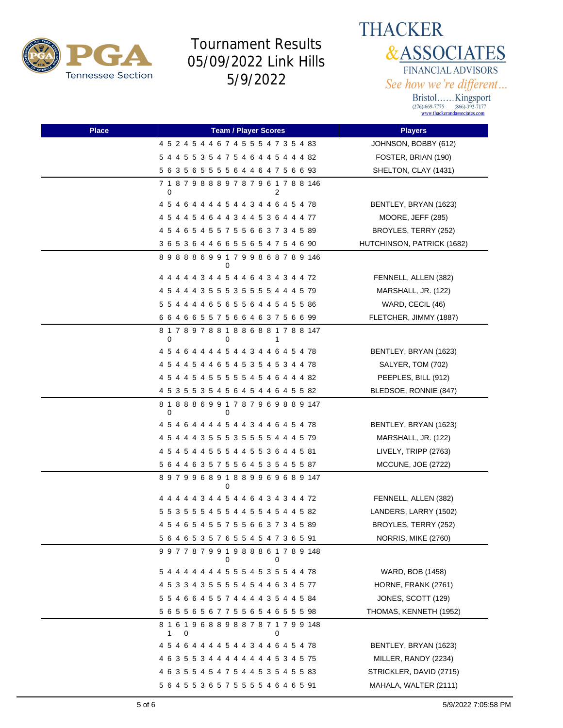



| <b>Place</b> | <b>Team / Player Scores</b>                       | <b>Players</b>             |
|--------------|---------------------------------------------------|----------------------------|
|              | 4 5 2 4 5 4 4 6 7 4 5 5 5 4 7 3 5 4 83            | JOHNSON, BOBBY (612)       |
|              | 5 4 4 5 5 3 5 4 7 5 4 6 4 4 5 4 4 4 82            | FOSTER, BRIAN (190)        |
|              | 5 6 3 5 6 5 5 5 5 6 4 4 6 4 7 5 6 6 93            | SHELTON, CLAY (1431)       |
|              | 7 1 8 7 9 8 8 8 9 7 8 7 9 6 1 7 8 8 146<br>0<br>2 |                            |
|              | 4 5 4 6 4 4 4 4 5 4 4 3 4 4 6 4 5 4 78            | BENTLEY, BRYAN (1623)      |
|              | 4 5 4 4 5 4 6 4 4 3 4 4 5 3 6 4 4 4 77            | MOORE, JEFF (285)          |
|              | 4 5 4 6 5 4 5 5 7 5 5 6 6 3 7 3 4 5 89            | BROYLES, TERRY (252)       |
|              | 3 6 5 3 6 4 4 6 6 5 5 6 5 4 7 5 4 6 90            | HUTCHINSON, PATRICK (1682) |
|              | 898886991799868789146<br>0                        |                            |
|              | 4 4 4 4 4 3 4 4 5 4 4 6 4 3 4 3 4 4 72            | FENNELL, ALLEN (382)       |
|              | 4 5 4 4 4 3 5 5 5 3 5 5 5 5 4 4 4 5 79            | MARSHALL, JR. (122)        |
|              | 5 5 4 4 4 4 6 5 6 5 5 6 4 4 5 4 5 5 86            | WARD, CECIL (46)           |
|              | 6 6 4 6 6 5 5 7 5 6 6 4 6 3 7 5 6 6 99            | FLETCHER, JIMMY (1887)     |
|              | 817897881886881788147<br>0<br>0                   |                            |
|              | 4 5 4 6 4 4 4 4 5 4 4 3 4 4 6 4 5 4 78            | BENTLEY, BRYAN (1623)      |
|              | 4 5 4 4 5 4 4 6 5 4 5 3 5 4 5 3 4 4 78            | SALYER, TOM (702)          |
|              | 4 5 4 4 5 4 5 5 5 5 5 4 5 4 6 4 4 4 82            | PEEPLES, BILL (912)        |
|              | 4 5 3 5 5 3 5 4 5 6 4 5 4 4 6 4 5 5 82            | BLEDSOE, RONNIE (847)      |
|              | 8 1 8 8 8 6 9 9 1 7 8 7 9 6 9 8 8 9 147<br>0<br>0 |                            |
|              | 4 5 4 6 4 4 4 4 5 4 4 3 4 4 6 4 5 4 78            | BENTLEY, BRYAN (1623)      |
|              | 4 5 4 4 4 3 5 5 5 3 5 5 5 5 4 4 4 5 79            | MARSHALL, JR. (122)        |
|              | 4 5 4 5 4 4 5 5 5 4 4 5 5 3 6 4 4 5 81            | LIVELY, TRIPP (2763)       |
|              | 5 6 4 4 6 3 5 7 5 5 6 4 5 3 5 4 5 5 87            | MCCUNE, JOE (2722)         |
|              | 897996891889969689147<br>0                        |                            |
|              | 4 4 4 4 4 3 4 4 5 4 4 6 4 3 4 3 4 4 72            | FENNELL, ALLEN (382)       |
|              | 5 5 3 5 5 5 4 5 5 4 4 5 5 4 5 4 4 5 82            | LANDERS, LARRY (1502)      |
|              | 4 5 4 6 5 4 5 5 7 5 5 6 6 3 7 3 4 5 89            | BROYLES, TERRY (252)       |
|              | 5 6 4 6 5 3 5 7 6 5 5 4 5 4 7 3 6 5 91            | NORRIS, MIKE (2760)        |
|              | 997787991988861789148<br>0<br>0                   |                            |
|              | 5 4 4 4 4 4 4 4 5 5 5 4 5 3 5 5 4 4 78            | WARD, BOB (1458)           |
|              | 4 5 3 3 4 3 5 5 5 5 4 5 4 4 6 3 4 5 77            | HORNE, FRANK (2761)        |
|              | 5 5 4 6 6 4 5 5 7 4 4 4 4 3 5 4 4 5 84            | JONES, SCOTT (129)         |
|              | 5 6 5 5 6 5 6 7 7 5 5 6 5 4 6 5 5 5 98            | THOMAS, KENNETH (1952)     |
|              | 8 1 6 1 9 6 8 8 9 8 8 7 8 7 1 7 9 9 148<br>0<br>1 |                            |
|              | 4 5 4 6 4 4 4 4 5 4 4 3 4 4 6 4 5 4 78            | BENTLEY, BRYAN (1623)      |
|              | 4 6 3 5 5 3 4 4 4 4 4 4 4 4 5 3 4 5 75            | MILLER, RANDY (2234)       |
|              | 4 6 3 5 5 4 5 4 7 5 4 4 5 3 5 4 5 5 83            | STRICKLER, DAVID (2715)    |
|              | 5 6 4 5 5 3 6 5 7 5 5 5 5 4 6 4 6 5 91            | MAHALA, WALTER (2111)      |